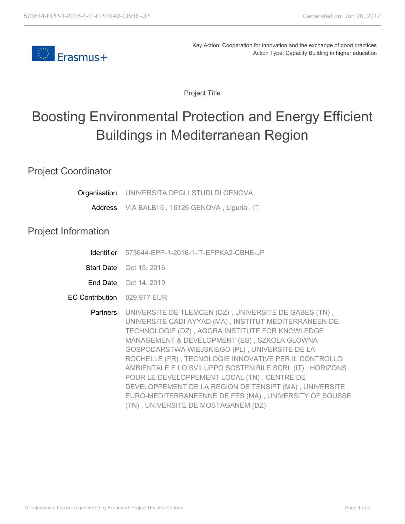

Key Action: Cooperation for innovation and the exchange of good practices Action Type: Capacity Building in higher education

Project Title

## Boosting Environmental Protection and Energy Efficient Buildings in Mediterranean Region

Project Coordinator

| <b>Organisation</b> UNIVERSITA DEGLI STUDI DI GENOVA                                                                                                                                                                                                                                                                               |  |
|------------------------------------------------------------------------------------------------------------------------------------------------------------------------------------------------------------------------------------------------------------------------------------------------------------------------------------|--|
| $\mathbf{u}$ $\mathbf{u}$ $\mathbf{v}$ $\mathbf{v}$ $\mathbf{v}$ $\mathbf{v}$ $\mathbf{v}$ $\mathbf{v}$ $\mathbf{v}$ $\mathbf{v}$ $\mathbf{v}$ $\mathbf{v}$ $\mathbf{v}$ $\mathbf{v}$ $\mathbf{v}$ $\mathbf{v}$ $\mathbf{v}$ $\mathbf{v}$ $\mathbf{v}$ $\mathbf{v}$ $\mathbf{v}$ $\mathbf{v}$ $\mathbf{v}$ $\mathbf{v}$ $\mathbf{$ |  |

**Address** VIA BALBI 5 , 16126 GENOVA , Liguria , IT

## Project Information

| <b>Identifier</b> 573644-EPP-1-2016-1-IT-EPPKA2-CBHE-JP |
|---------------------------------------------------------|
|                                                         |

Start Date Oct 15, 2016

**End Date** Oct 14, 2019

EC Contribution 829,977 EUR

**Partners** UNIVERSITE DE TLEMCEN (DZ) , UNIVERSITE DE GABES (TN) , UNIVERSITE CADI AYYAD (MA) , INSTITUT MEDITERRANEEN DE TECHNOLOGIE (DZ) , AGORA INSTITUTE FOR KNOWLEDGE MANAGEMENT & DEVELOPMENT (ES) , SZKOLA GLOWNA GOSPODARSTWA WIEJSKIEGO (PL) , UNIVERSITE DE LA ROCHELLE (FR) , TECNOLOGIE INNOVATIVE PER IL CONTROLLO AMBIENTALE E LO SVILUPPO SOSTENIBILE SCRL (IT) , HORIZONS POUR LE DEVELOPPEMENT LOCAL (TN) , CENTRE DE DEVELOPPEMENT DE LA REGION DE TENSIFT (MA) , UNIVERSITE EURO-MEDITERRANEENNE DE FES (MA) , UNIVERSITY OF SOUSSE (TN) , UNIVERSITE DE MOSTAGANEM (DZ)